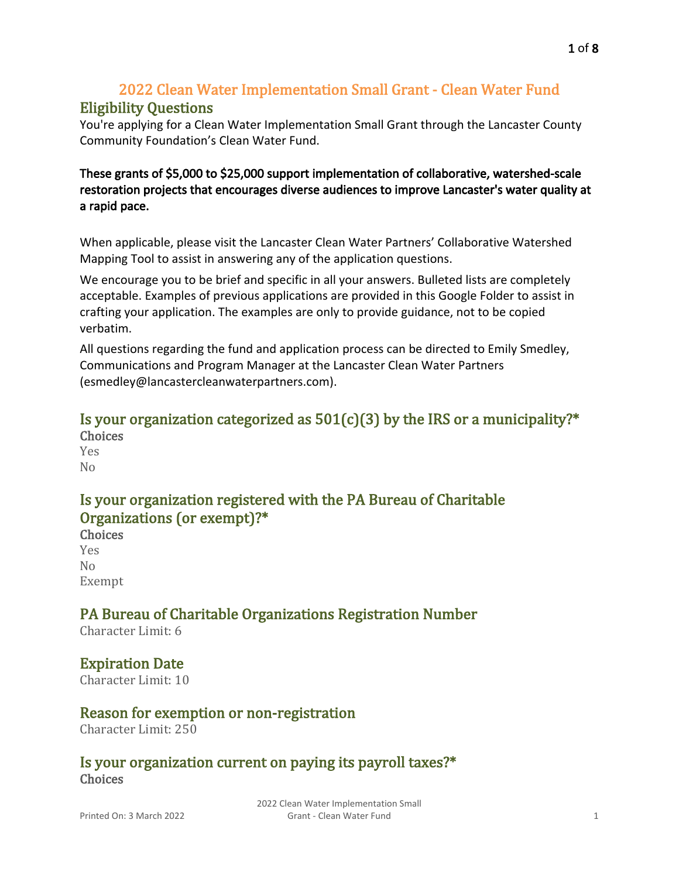# 2022 Clean Water Implementation Small Grant - Clean Water Fund

### Eligibility Questions

You're applying for a Clean Water Implementation Small Grant through the Lancaster County Community Foundation's Clean Water Fund.

### These grants of \$5,000 to \$25,000 support implementation of collaborative, watershed-scale restoration projects that encourages diverse audiences to improve Lancaster's water quality at a rapid pace.

When applicable, please visit the Lancaster Clean Water Partners' [Collaborative Watershed](https://chescon.maps.arcgis.com/apps/webappviewer/index.html?id=52cf7142ea8a48e48bce49046fef2298)  [Mapping Tool](https://chescon.maps.arcgis.com/apps/webappviewer/index.html?id=52cf7142ea8a48e48bce49046fef2298) to assist in answering any of the application questions.

We encourage you to be brief and specific in all your answers. Bulleted lists are completely acceptable. Examples of previous applications are provided [in this Google Folder](https://drive.google.com/drive/folders/13nXQhodP_oFF4W5BElLFkLb_C2ElCBlP?usp=sharing) to assist in crafting your application. The examples are only to provide guidance, not to be copied verbatim.

All questions regarding the fund and application process can be directed to Emily Smedley, Communications and Program Manager at the Lancaster Clean Water Partners ([esmedley@lancastercleanwaterpartners.com](mailto:esmedley@lancastercleanwaterpartners.com)).

### Is your organization categorized as  $501(c)(3)$  by the IRS or a municipality?\* Choices

Yes No

# Is your organization registered with the PA Bureau of Charitable Organizations (or exempt)?\*

Choices Yes No Exempt

# PA Bureau of Charitable Organizations Registration Number

Character Limit: 6

# Expiration Date

Character Limit: 10

# Reason for exemption or non-registration

Character Limit: 250

### Is your organization current on paying its payroll taxes?\* **Choices**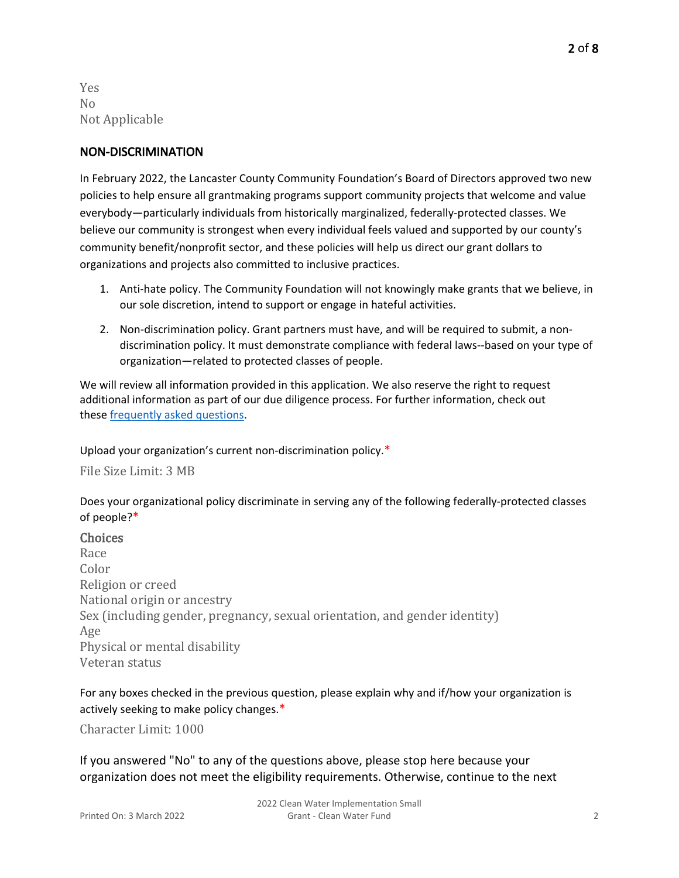Yes No Not Applicable

#### NON-DISCRIMINATION

In February 2022, the Lancaster County Community Foundation's Board of Directors approved two new policies to help ensure all grantmaking programs support community projects that welcome and value everybody—particularly individuals from historically marginalized, federally-protected classes. We believe our community is strongest when every individual feels valued and supported by our county's community benefit/nonprofit sector, and these policies will help us direct our grant dollars to organizations and projects also committed to inclusive practices.

- 1. Anti-hate policy. The Community Foundation will not knowingly make grants that we believe, in our sole discretion, intend to support or engage in hateful activities.
- 2. Non-discrimination policy. Grant partners must have, and will be required to submit, a nondiscrimination policy. It must demonstrate compliance with federal laws--based on your type of organization—related to protected classes of people.

We will review all information provided in this application. We also reserve the right to request additional information as part of our due diligence process. For further information, check out these [frequently asked questions](https://www.lancfound.org/wp-content/uploads/FAQs_non-discrimination-policy.docx).

Upload your organization's current non-discrimination policy.\*

File Size Limit: 3 MB

Does your organizational policy discriminate in serving any of the following federally-protected classes of people?\*

#### **Choices**

Race Color Religion or creed National origin or ancestry Sex (including gender, pregnancy, sexual orientation, and gender identity) Age Physical or mental disability Veteran status

#### For any boxes checked in the previous question, please explain why and if/how your organization is actively seeking to make policy changes.\*

Character Limit: 1000

If you answered "No" to any of the questions above, please stop here because your organization does not meet the eligibility requirements. Otherwise, continue to the next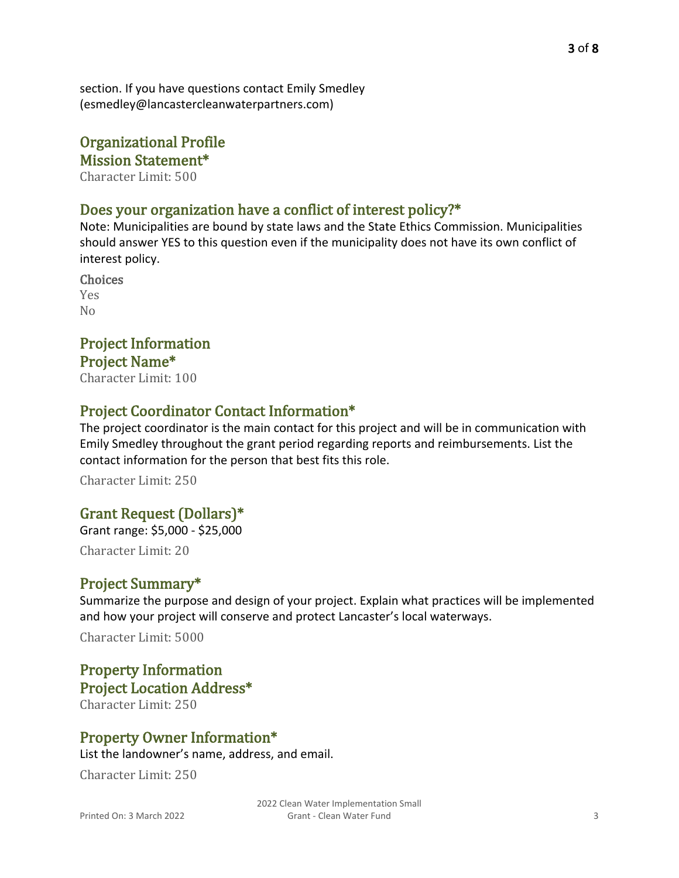section. If you have questions contact Emily Smedley ([esmedley@lancastercleanwaterpartners.com](mailto:esmedley@lancastercleanwaterpartners.com))

# Organizational Profile Mission Statement\*

Character Limit: 500

### Does your organization have a conflict of interest policy?\*

Note: Municipalities are bound by state laws and the State Ethics Commission. Municipalities should answer YES to this question even if the municipality does not have its own conflict of interest policy.

Choices Yes No

# Project Information Project Name\*

Character Limit: 100

### Project Coordinator Contact Information\*

The project coordinator is the main contact for this project and will be in communication with Emily Smedley throughout the grant period regarding reports and reimbursements. List the contact information for the person that best fits this role.

Character Limit: 250

### Grant Request (Dollars)\*

Grant range: \$5,000 - \$25,000 Character Limit: 20

### Project Summary\*

Summarize the purpose and design of your project. Explain what practices will be implemented and how your project will conserve and protect Lancaster's local waterways.

Character Limit: 5000

# Property Information Project Location Address\*

Character Limit: 250

### Property Owner Information\*

List the landowner's name, address, and email.

Character Limit: 250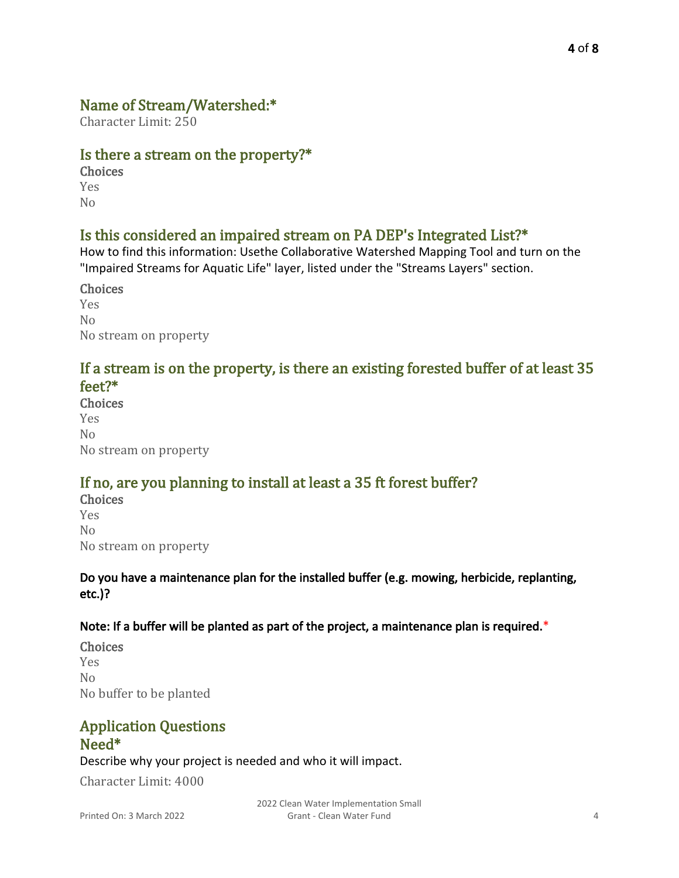## Name of Stream/Watershed:\*

Character Limit: 250

### Is there a stream on the property?\*

**Choices** Yes

No

## Is this considered an impaired stream on PA DEP's Integrated List?\*

How to find this information: Use[the Collaborative Watershed Mapping Tool](https://chescon.maps.arcgis.com/apps/webappviewer/index.html?id=52cf7142ea8a48e48bce49046fef2298) and turn on the "Impaired Streams for Aquatic Life" layer, listed under the "Streams Layers" section.

Choices Yes  $N<sub>0</sub>$ No stream on property

### If a stream is on the property, is there an existing forested buffer of at least 35 feet?\*

Choices Yes No No stream on property

# If no, are you planning to install at least a 35 ft forest buffer?

Choices Yes  $N<sub>0</sub>$ No stream on property

### Do you have a maintenance plan for the installed buffer (e.g. mowing, herbicide, replanting, etc.)?

### Note: If a buffer will be planted as part of the project, a maintenance plan is required.\*

Choices Yes No No buffer to be planted

## Application Questions Need\*

Describe why your project is needed and who it will impact.

Character Limit: 4000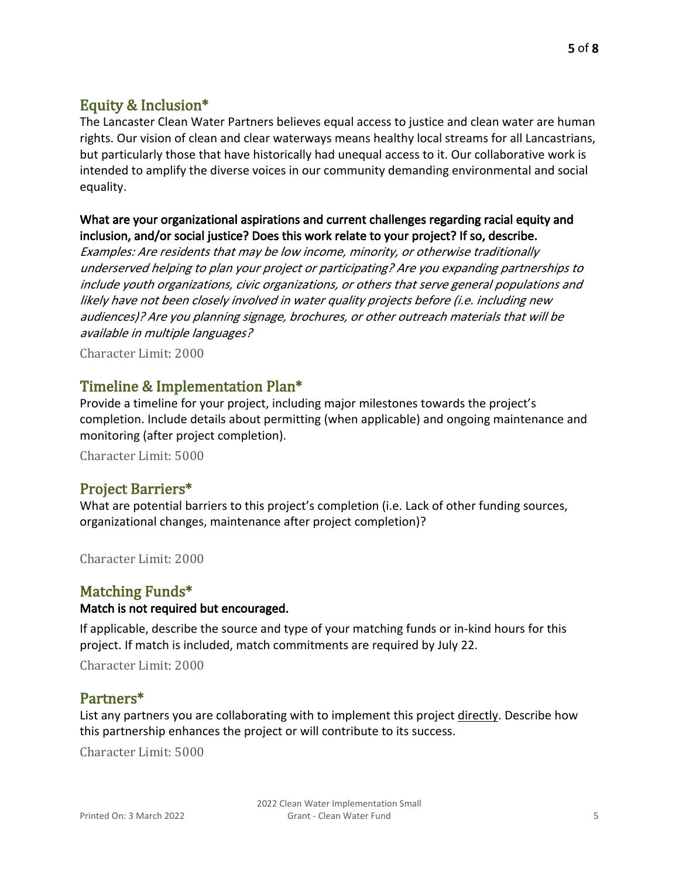# Equity & Inclusion\*

The Lancaster Clean Water Partners believes equal access to justice and clean water are human rights. Our vision of clean and clear waterways means healthy local streams for all Lancastrians, but particularly those that have historically had unequal access to it. Our collaborative work is intended to amplify the diverse voices in our community demanding environmental and social equality.

#### What are your organizational aspirations and current challenges regarding racial equity and inclusion, and/or social justice? Does this work relate to your project? If so, describe.

Examples: Are residents that may be low income, minority, or otherwise traditionally underserved helping to plan your project or participating? Are you expanding partnerships to include youth organizations, civic organizations, or others that serve general populations and likely have not been closely involved in water quality projects before (i.e. including new audiences)? Are you planning signage, brochures, or other outreach materials that will be available in multiple languages?

Character Limit: 2000

### Timeline & Implementation Plan\*

Provide a timeline for your project, including major milestones towards the project's completion. Include details about permitting (when applicable) and ongoing maintenance and monitoring (after project completion).

Character Limit: 5000

### Project Barriers\*

What are potential barriers to this project's completion (i.e. Lack of other funding sources, organizational changes, maintenance after project completion)?

Character Limit: 2000

### Matching Funds\*

#### Match is not required but encouraged.

If applicable, describe the source and type of your matching funds or in-kind hours for this project. If match is included, match commitments are required by July 22.

Character Limit: 2000

### Partners\*

List any partners you are collaborating with to implement this project directly. Describe how this partnership enhances the project or will contribute to its success.

Character Limit: 5000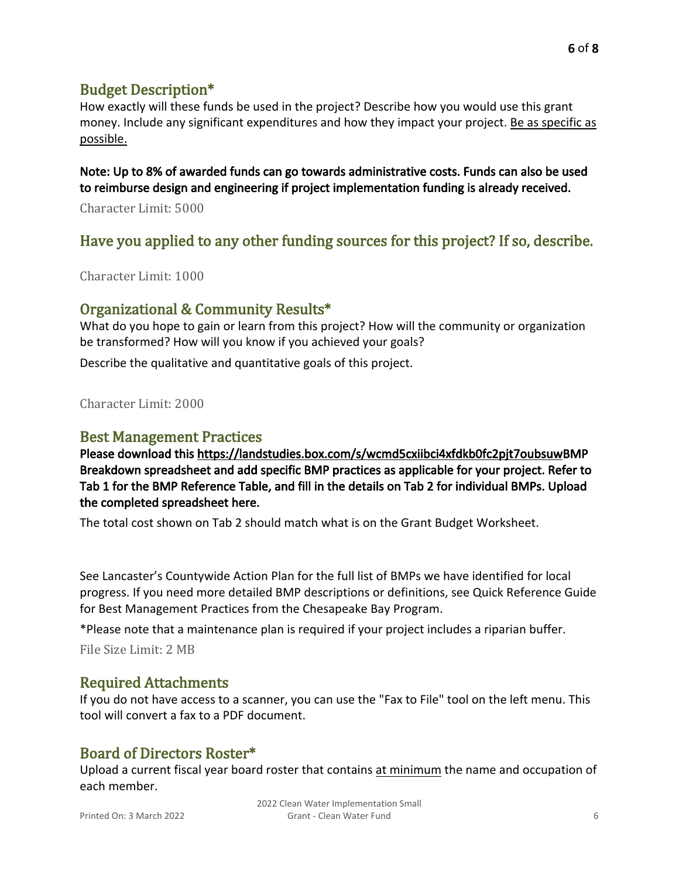How exactly will these funds be used in the project? Describe how you would use this grant money. Include any significant expenditures and how they impact your project. Be as specific as possible.

Note: Up to 8% of awarded funds can go towards administrative costs. Funds can also be used to reimburse design and engineering if project implementation funding is already received.

Character Limit: 5000

# Have you applied to any other funding sources for this project? If so, describe.

Character Limit: 1000

### Organizational & Community Results\*

What do you hope to gain or learn from this project? How will the community or organization be transformed? How will you know if you achieved your goals?

Describe the qualitative and quantitative goals of this project.

Character Limit: 2000

#### Best Management Practices

Please download this <https://landstudies.box.com/s/wcmd5cxiibci4xfdkb0fc2pjt7oubsuw>[BMP](https://lancastercleanwaterpartners.com/wp-content/uploads/2022/02/BMP-Breakdown_CWF.xlsx)  [Breakdown spreadsheet a](https://lancastercleanwaterpartners.com/wp-content/uploads/2022/02/BMP-Breakdown_CWF.xlsx)nd add specific BMP practices as applicable for your project. Refer to Tab 1 for the BMP Reference Table, and fill in the details on Tab 2 for individual BMPs. Upload the completed spreadsheet here.

The total cost shown on Tab 2 should match what is on the Grant Budget Worksheet.

See Lancaster's Countywide Action Plan for the full list of BMPs we have identified for local progress. If you need more detailed BMP descriptions or definitions, see [Quick Reference Guide](https://www.chesapeakebay.net/documents/BMP-Guide_Full.pdf)  [for Best Management Practices](https://www.chesapeakebay.net/documents/BMP-Guide_Full.pdf) from the Chesapeake Bay Program.

\*Please note that a maintenance plan is required if your project includes a riparian buffer.

File Size Limit: 2 MB

### Required Attachments

If you do not have access to a scanner, you can use the "Fax to File" tool on the left menu. This tool will convert a fax to a PDF document.

### Board of Directors Roster\*

Upload a current fiscal year board roster that contains at minimum the name and occupation of each member.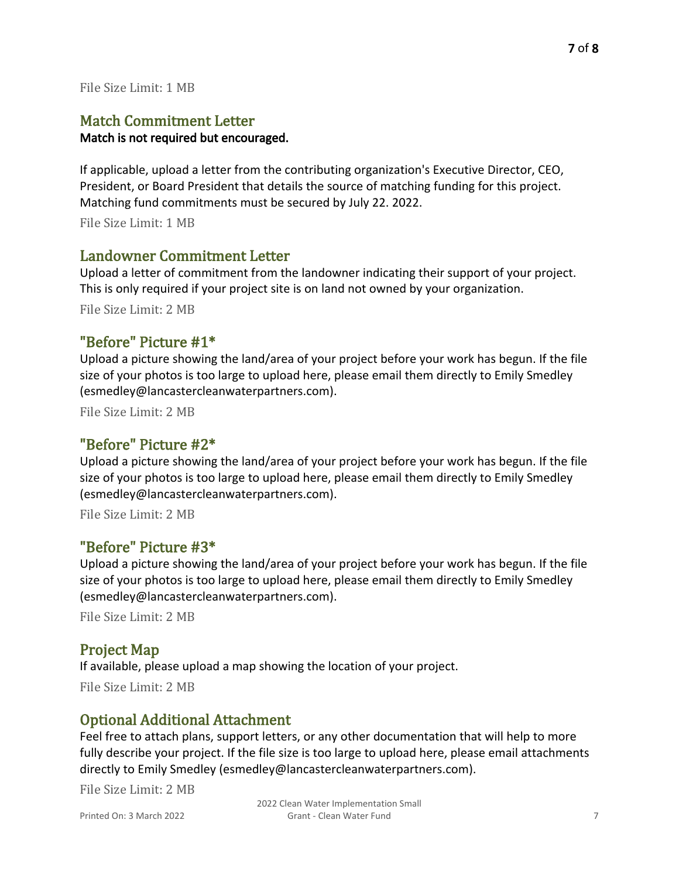#### File Size Limit: 1 MB

### Match Commitment Letter

#### Match is not required but encouraged.

If applicable, upload a letter from the contributing organization's Executive Director, CEO, President, or Board President that details the source of matching funding for this project. Matching fund commitments must be secured by July 22. 2022.

File Size Limit: 1 MB

#### Landowner Commitment Letter

Upload a letter of commitment from the landowner indicating their support of your project. This is only required if your project site is on land not owned by your organization. File Size Limit: 2 MB

#### "Before" Picture #1\*

Upload a picture showing the land/area of your project before your work has begun. If the file size of your photos is too large to upload here, please email them directly to Emily Smedley ([esmedley@lancastercleanwaterpartners.com](mailto:esmedley@lancastercleanwaterpartners.com)).

File Size Limit: 2 MB

### "Before" Picture #2\*

Upload a picture showing the land/area of your project before your work has begun. If the file size of your photos is too large to upload here, please email them directly to Emily Smedley ([esmedley@lancastercleanwaterpartners.com](mailto:esmedley@lancastercleanwaterpartners.com)).

File Size Limit: 2 MB

#### "Before" Picture #3\*

Upload a picture showing the land/area of your project before your work has begun. If the file size of your photos is too large to upload here, please email them directly to Emily Smedley ([esmedley@lancastercleanwaterpartners.com](mailto:esmedley@lancastercleanwaterpartners.com)).

File Size Limit: 2 MB

### Project Map

If available, please upload a map showing the location of your project.

File Size Limit: 2 MB

### Optional Additional Attachment

Feel free to attach plans, support letters, or any other documentation that will help to more fully describe your project. If the file size is too large to upload here, please email attachments directly to Emily Smedley [\(esmedley@lancastercleanwaterpartners.com\)](mailto:esmedley@lancastercleanwaterpartners.com).

File Size Limit: 2 MB